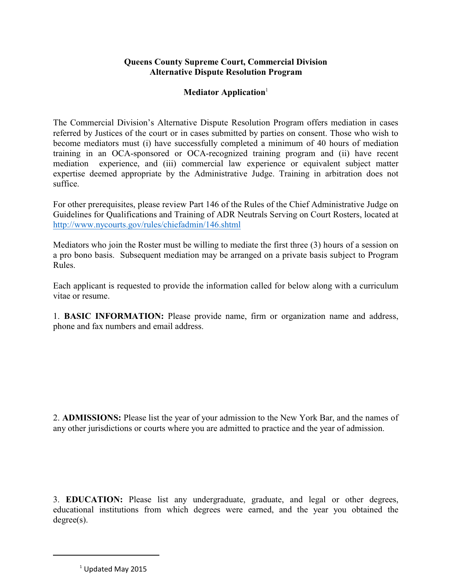## **Queens County Supreme Court, Commercial Division Alternative Dispute Resolution Program**

## **Mediator Application**<sup>1</sup>

The Commercial Division's Alternative Dispute Resolution Program offers mediation in cases referred by Justices of the court or in cases submitted by parties on consent. Those who wish to become mediators must (i) have successfully completed a minimum of 40 hours of mediation training in an OCA-sponsored or OCA-recognized training program and (ii) have recent mediation experience, and (iii) commercial law experience or equivalent subject matter expertise deemed appropriate by the Administrative Judge. Training in arbitration does not suffice.

For other prerequisites, please review Part 146 of the Rules of the Chief Administrative Judge on Guidelines for Qualifications and Training of ADR Neutrals Serving on Court Rosters, located at <http://www.nycourts.gov/rules/chiefadmin/146.shtml>

Mediators who join the Roster must be willing to mediate the first three (3) hours of a session on a pro bono basis. Subsequent mediation may be arranged on a private basis subject to Program Rules.

Each applicant is requested to provide the information called for below along with a curriculum vitae or resume.

1. **BASIC INFORMATION:** Please provide name, firm or organization name and address, phone and fax numbers and email address.

2. **ADMISSIONS:** Please list the year of your admission to the New York Bar, and the names of any other jurisdictions or courts where you are admitted to practice and the year of admission.

3. **EDUCATION:** Please list any undergraduate, graduate, and legal or other degrees, educational institutions from which degrees were earned, and the year you obtained the degree(s).

 $1$  Updated May 2015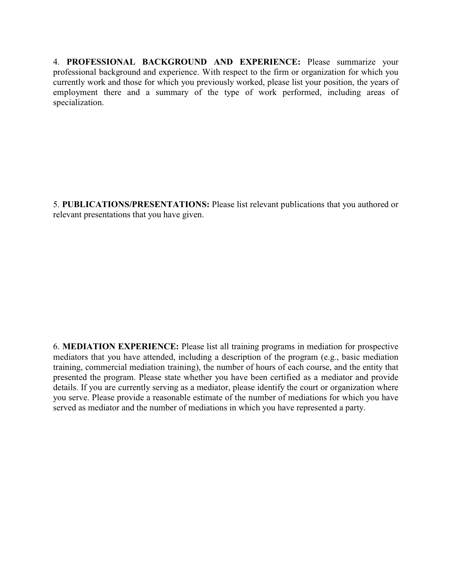4. **PROFESSIONAL BACKGROUND AND EXPERIENCE:** Please summarize your professional background and experience. With respect to the firm or organization for which you currently work and those for which you previously worked, please list your position, the years of employment there and a summary of the type of work performed, including areas of specialization.

5. **PUBLICATIONS/PRESENTATIONS:** Please list relevant publications that you authored or relevant presentations that you have given.

6. **MEDIATION EXPERIENCE:** Please list all training programs in mediation for prospective mediators that you have attended, including a description of the program (e.g., basic mediation training, commercial mediation training), the number of hours of each course, and the entity that presented the program. Please state whether you have been certified as a mediator and provide details. If you are currently serving as a mediator, please identify the court or organization where you serve. Please provide a reasonable estimate of the number of mediations for which you have served as mediator and the number of mediations in which you have represented a party.